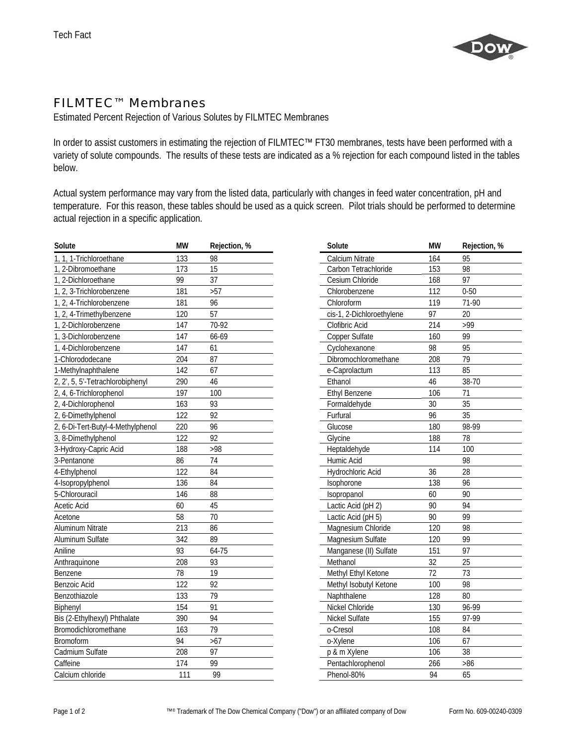

## FILMTEC™ Membranes

Estimated Percent Rejection of Various Solutes by FILMTEC Membranes

In order to assist customers in estimating the rejection of FILMTEC™ FT30 membranes, tests have been performed with a variety of solute compounds. The results of these tests are indicated as a % rejection for each compound listed in the tables below.

Actual system performance may vary from the listed data, particularly with changes in feed water concentration, pH and temperature. For this reason, these tables should be used as a quick screen. Pilot trials should be performed to determine actual rejection in a specific application.

| Solute                            | <b>MW</b> | Rejection, %    | Solute                    | <b>MW</b>        | Rejection, % |
|-----------------------------------|-----------|-----------------|---------------------------|------------------|--------------|
| 1, 1, 1-Trichloroethane           | 133       | 98              | Calcium Nitrate           | 164              | 95           |
| 1, 2-Dibromoethane                | 173       | 15              | Carbon Tetrachloride      | 153              | 98           |
| 1, 2-Dichloroethane               | 99        | $\overline{37}$ | Cesium Chloride           | 168              | 97           |
| 1, 2, 3-Trichlorobenzene          | 181       | $>57$           | Chlorobenzene             | 112              | $0 - 50$     |
| 1.2.4-Trichlorobenzene            | 181       | 96              | Chloroform                | 119              | 71-90        |
| 1, 2, 4-Trimethylbenzene          | 120       | 57              | cis-1, 2-Dichloroethylene | 97               | 20           |
| 1, 2-Dichlorobenzene              | 147       | 70-92           | Clofibric Acid            | 214              | >99          |
| 1, 3-Dichlorobenzene              | 147       | 66-69           | Copper Sulfate            | 160              | 99           |
| 1, 4-Dichlorobenzene              | 147       | 61              | Cyclohexanone             | 98               | 95           |
| 1-Chlorododecane                  | 204       | 87              | Dibromochloromethane      | 208              | 79           |
| 1-Methylnaphthalene               | 142       | 67              | e-Caprolactum             | 113              | 85           |
| 2, 2', 5, 5'-Tetrachlorobiphenyl  | 290       | 46              | Ethanol                   | 46               | 38-70        |
| 2, 4, 6-Trichlorophenol           | 197       | 100             | <b>Ethyl Benzene</b>      | 106              | 71           |
| 2, 4-Dichlorophenol               | 163       | 93              | Formaldehyde              | 30               | 35           |
| 2, 6-Dimethylphenol               | 122       | 92              | Furfural                  | 96               | 35           |
| 2, 6-Di-Tert-Butyl-4-Methylphenol | 220       | 96              | Glucose                   | 180              | 98-99        |
| 3, 8-Dimethylphenol               | 122       | 92              | Glycine                   | 188              | 78           |
| 3-Hydroxy-Capric Acid             | 188       | >98             | Heptaldehyde              | 114              | 100          |
| 3-Pentanone                       | 86        | 74              | Humic Acid                |                  | 98           |
| 4-Ethylphenol                     | 122       | 84              | Hydrochloric Acid         | 36               | 28           |
| 4-Isopropylphenol                 | 136       | 84              | Isophorone                | 138              | 96           |
| 5-Chlorouracil                    | 146       | 88              | Isopropanol               | 60               | 90           |
| Acetic Acid                       | 60        | 45              | Lactic Acid (pH 2)        | 90               | 94           |
| Acetone                           | 58        | 70              | Lactic Acid (pH 5)        | 90               | 99           |
| Aluminum Nitrate                  | 213       | 86              | Magnesium Chloride        | $\overline{120}$ | 98           |
| Aluminum Sulfate                  | 342       | 89              | Magnesium Sulfate         | 120              | 99           |
| Aniline                           | 93        | 64-75           | Manganese (II) Sulfate    | 151              | 97           |
| Anthraquinone                     | 208       | 93              | Methanol                  | 32               | 25           |
| Benzene                           | 78        | 19              | Methyl Ethyl Ketone       | 72               | 73           |
| <b>Benzoic Acid</b>               | 122       | 92              | Methyl Isobutyl Ketone    | 100              | 98           |
| Benzothiazole                     | 133       | 79              | Naphthalene               | 128              | 80           |
| Biphenyl                          | 154       | 91              | Nickel Chloride           | 130              | 96-99        |
| Bis (2-Ethylhexyl) Phthalate      | 390       | 94              | Nickel Sulfate            | 155              | 97-99        |
| Bromodichloromethane              | 163       | 79              | o-Cresol                  | 108              | 84           |
| Bromoform                         | 94        | $>67$           | o-Xylene                  | 106              | 67           |
| Cadmium Sulfate                   | 208       | 97              | p & m Xylene              | 106              | 38           |
| Caffeine                          | 174       | 99              | Pentachlorophenol         | 266              | $>86$        |
| Calcium chloride                  | 111       | 99              | Phenol-80%                | 94               | 65           |

| Solute                    | МW  | Rejection, % |
|---------------------------|-----|--------------|
| <b>Calcium Nitrate</b>    | 164 | 95           |
| Carbon Tetrachloride      | 153 | 98           |
| Cesium Chloride           | 168 | 97           |
| Chlorobenzene             | 112 | $0 - 50$     |
| Chloroform                | 119 | 71-90        |
| cis-1, 2-Dichloroethylene | 97  | 20           |
| Clofibric Acid            | 214 | >99          |
| Copper Sulfate            | 160 | 99           |
| Cyclohexanone             | 98  | 95           |
| Dibromochloromethane      | 208 | 79           |
| e-Caprolactum             | 113 | 85           |
| Ethanol                   | 46  | 38-70        |
| <b>Ethyl Benzene</b>      | 106 | 71           |
| Formaldehyde              | 30  | 35           |
| Furfural                  | 96  | 35           |
| Glucose                   | 180 | 98-99        |
| Glycine                   | 188 | 78           |
| Heptaldehyde              | 114 | 100          |
| Humic Acid                |     | 98           |
| Hydrochloric Acid         | 36  | 28           |
| Isophorone                | 138 | 96           |
| Isopropanol               | 60  | 90           |
| Lactic Acid (pH 2)        | 90  | 94           |
| Lactic Acid (pH 5)        | 90  | 99           |
| Magnesium Chloride        | 120 | 98           |
| Magnesium Sulfate         | 120 | 99           |
| Manganese (II) Sulfate    | 151 | 97           |
| Methanol                  | 32  | 25           |
| Methyl Ethyl Ketone       | 72  | 73           |
| Methyl Isobutyl Ketone    | 100 | 98           |
| Naphthalene               | 128 | 80           |
| Nickel Chloride           | 130 | 96-99        |
| Nickel Sulfate            | 155 | 97-99        |
| o-Cresol                  | 108 | 84           |
| o-Xylene                  | 106 | 67           |
| p & m Xylene              | 106 | 38           |
| Pentachlorophenol         | 266 | >86          |
| Phenol-80%                | 94  | 65           |